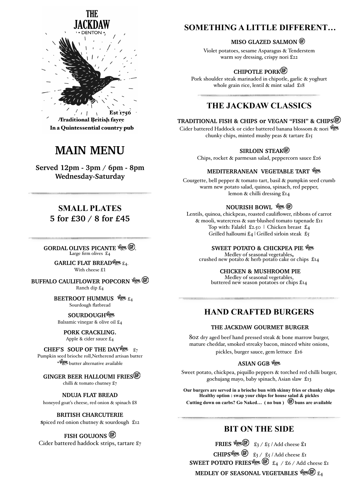

**/Traditional British fayre** In a Quintessential country pub

# **MAIN MENU**

**Served 12pm - 3pm / 6pm - 8pm Wednesday-Saturday**

# **SMALL PLATES 5 for £30 / 8 for £45**

**GORDAL OLIVES PICANTE Veget GD. L**arge firm olives £4

> **GARLIC FLAT BREAD**<sup>166</sup> £4. With cheese £1

**BUFFALO CAULIFLOWER POPCORN Vega GD** Ranch dip £4

> **BEETROOT HUMMUS**  $\frac{w_{\text{env}}}{24}$ Sourdough flatbread

**SOURDOUGH<sup>V6</sup>** Balsamic vinegar & olive oil £4

**PORK CRACKLING.**  Apple & cider sauce £4

**CHEF'S SOUP OF THE DAY**  $\frac{w}{x}$  $\frac{z}{7}$ 

Pumpkin seed brioche roll,Netherend artisan butter \* *<sup>\*</sup> legan* butter alternative available

 **GINGER BEER HALLOUMI FRIES** chilli & tomato chutney £7

**NDUJA FLAT BREAD**  honeyed goat's cheese, red onion & spinach £8

**BRITISH CHARCUTERIE s**piced red onion chutney & sourdough £12

**FISH GOUJONS**  Cider battered haddock strips, tartare £7

# **SOMETHING A LITTLE DIFFERENT…**

### **MISO GLAZED SALMON**

Violet potatoes, sesame Asparagus & Tenderstem warm soy dressing, crispy nori £22

# **CHIPOTLE PORK**

Pork shoulder steak marinaded in chipotle, garlic & yoghurt whole grain rice, lentil & mint salad £18

# **THE JACKDAW CLASSICS**

**TRADITIONAL FISH & CHIPS or VEGAN "FISH" & CHIPS** 

Cider battered Haddock or cider battered banana blossom & nori Vegy chunky chips, minted mushy peas & tartare £15

### **SIRLOIN STEAK®**

Chips, rocket & parmesan salad, peppercorn sauce £26

### **MEDITERRANEAN VEGETABLE TART**

Courgette, bell pepper & tomato tart, basil & pumpkin seed crumb warm new potato salad, quinoa, spinach, red pepper, lemon & chilli dressing £14

## **NOURISH BOWL** *We GE*

Lentils, quinoa, chickpeas, roasted cauliflower, ribbons of carrot & mooli, watercress & sun-blushed tomato tapenade £11 Top with: Falafel £2.50 | Chicken breast £4 Grilled halloumi £4 | Grilled sirloin steak  $\mathfrak{L}_5$ 

**SWEET POTATO & CHICKPEA PIE Veget**<br>Medley of seasonal vegetables, crushed new potato  $\&$  herb potato cake or chips £14

**CHICKEN & MUSHROOM PIE**<br>Medley of seasonal vegetables,<br>buttered new season potatoes or chips £14

# **HAND CRAFTED BURGERS**

### **THE JACKDAW GOURMET BURGER**

8oz dry aged beef hand pressed steak & bone marrow burger, mature cheddar, smoked streaky bacon, minced white onions, pickles, burger sauce, gem lettuce £16

# **ASIAN GGB**

Sweet potato, chickpea, piquillo peppers & torched red chilli burger, gochujang mayo, baby spinach, Asian slaw £13

**Our burgers are served in a brioche bun with skinny fries or chunky chips Healthy option : swap your chips for house salad & pickles** Cutting down on carbs? Go Naked... (no bun)  $\circledR$  buns are available

# **BIT ON THE SIDE**

**FRIES**  $\frac{log w(\widehat{F})}{\widehat{x}_3 / \widehat{x}_5}$  / Add cheese  $\widehat{x}_1$ **CHIPS**<sup>*lggy*</sup>  $\times$   $\frac{1}{2}$  /  $\frac{1}{2}$  / Add cheese  $\pm$ <sub>1</sub> **SWEET POTATO FRIES**<sup> $\mathcal{C}_{\mathcal{L}}$  ( $\mathcal{C}_{\mathcal{L}}$  /  $\mathcal{C}_{\mathcal{L}}$  / Add cheese £1</sup> **MEDLEY OF SEASONAL VEGETABLES**  $\mathbb{C}$   $\mathbb{C}$   $\mathbb{C}$   $\mathbb{C}$   $\mathbb{C}$   $\mathbb{C}$   $\mathbb{C}$   $\mathbb{C}$   $\mathbb{C}$   $\mathbb{C}$   $\mathbb{C}$   $\mathbb{C}$   $\mathbb{C}$   $\mathbb{C}$   $\mathbb{C}$   $\mathbb{C}$   $\mathbb{C}$   $\mathbb{C}$   $\mathbb{C}$   $\mathbb{C}$   $\mathbb{C}$